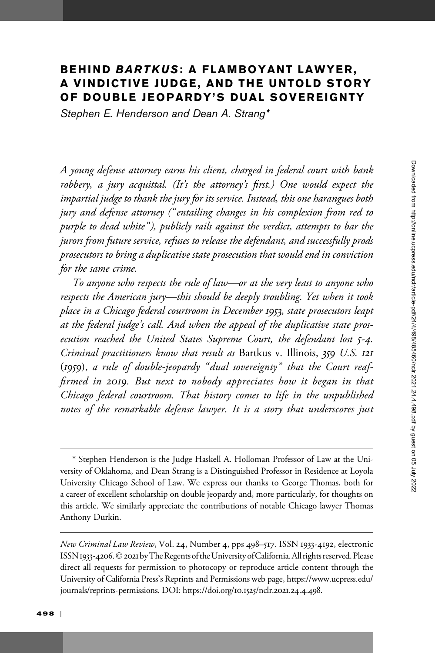# BEHIND BARTKUS: A FLAMBOYANT LAWYER, A VINDICTIVE JUDGE, AND THE UNTOLD STORY OF DOUBLE JEOPARDY'S DUAL SOVEREIGNTY

Stephen E. Henderson and Dean A. Strang\*

A young defense attorney earns his client, charged in federal court with bank robbery, a jury acquittal. (It's the attorney's first.) One would expect the impartial judge to thank the jury for its service. Instead, this one harangues both jury and defense attorney (" entailing changes in his complexion from red to purple to dead white"), publicly rails against the verdict, attempts to bar the jurors from future service, refuses to release the defendant, and successfully prods prosecutors to bring a duplicative state prosecution that would end in conviction for the same crime.

To anyone who respects the rule of law—or at the very least to anyone who respects the American jury—this should be deeply troubling. Yet when it took place in a Chicago federal courtroom in December 1953, state prosecutors leapt at the federal judge's call. And when the appeal of the duplicative state prosecution reached the United States Supreme Court, the defendant lost 5-4. Criminal practitioners know that result as Bartkus v. Illinois, 359 U.S. 121 (1959), a rule of double-jeopardy "dual sovereignty" that the Court reaffirmed in 2019. But next to nobody appreciates how it began in that Chicago federal courtroom. That history comes to life in the unpublished notes of the remarkable defense lawyer. It is a story that underscores just

\* Stephen Henderson is the Judge Haskell A. Holloman Professor of Law at the University of Oklahoma, and Dean Strang is a Distinguished Professor in Residence at Loyola University Chicago School of Law. We express our thanks to George Thomas, both for a career of excellent scholarship on double jeopardy and, more particularly, for thoughts on this article. We similarly appreciate the contributions of notable Chicago lawyer Thomas Anthony Durkin.

New Criminal Law Review, Vol. 24, Number 4, pps 498–517. ISSN 1933-4192, electronic ISSN 1933-4206. © 2021 by The Regents of the University of California. All rights reserved. Please direct all requests for permission to photocopy or reproduce article content through the University of California Press's Reprints and Permissions web page, [https://www.ucpress.edu/](https://www.ucpress.edu/journals/reprints-permissions) [journals/reprints-permissions.](https://www.ucpress.edu/journals/reprints-permissions) [DOI: https://doi.org/](https://doi.org/10.1525/nclr.2021.24.4.498)10.1525/nclr.2021.24.4.498.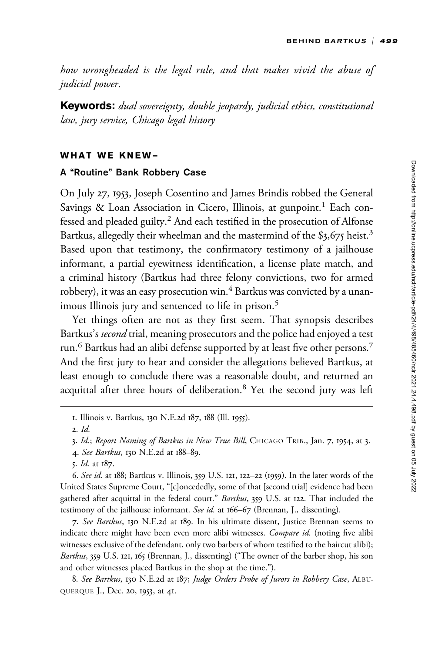how wrongheaded is the legal rule, and that makes vivid the abuse of judicial power.

Keywords: dual sovereignty, double jeopardy, judicial ethics, constitutional law, jury service, Chicago legal history

## WHAT WE KNEW—

#### A "Routine" Bank Robbery Case

On July 27, 1953, Joseph Cosentino and James Brindis robbed the General Savings & Loan Association in Cicero, Illinois, at gunpoint.<sup>1</sup> Each confessed and pleaded guilty.<sup>2</sup> And each testified in the prosecution of Alfonse Bartkus, allegedly their wheelman and the mastermind of the \$3,675 heist.<sup>3</sup> Based upon that testimony, the confirmatory testimony of a jailhouse informant, a partial eyewitness identification, a license plate match, and a criminal history (Bartkus had three felony convictions, two for armed robbery), it was an easy prosecution win.<sup>4</sup> Bartkus was convicted by a unanimous Illinois jury and sentenced to life in prison.<sup>5</sup>

Yet things often are not as they first seem. That synopsis describes Bartkus's second trial, meaning prosecutors and the police had enjoyed a test run.<sup>6</sup> Bartkus had an alibi defense supported by at least five other persons.<sup>7</sup> And the first jury to hear and consider the allegations believed Bartkus, at least enough to conclude there was a reasonable doubt, and returned an acquittal after three hours of deliberation.<sup>8</sup> Yet the second jury was left

6. See id. at 188; Bartkus v. Illinois, 359 U.S. 121, 122–22 (1959). In the later words of the United States Supreme Court, "[c]oncededly, some of that [second trial] evidence had been gathered after acquittal in the federal court." Bartkus, 359 U.S. at 122. That included the testimony of the jailhouse informant. See id. at 166–67 (Brennan, J., dissenting).

7. See Bartkus, 130 N.E.2d at 189. In his ultimate dissent, Justice Brennan seems to indicate there might have been even more alibi witnesses. Compare id. (noting five alibi witnesses exclusive of the defendant, only two barbers of whom testified to the haircut alibi); Bartkus, 359 U.S. 121, 165 (Brennan, J., dissenting) ("The owner of the barber shop, his son and other witnesses placed Bartkus in the shop at the time.").

8. See Bartkus, 130 N.E.2d at 187; Judge Orders Probe of Jurors in Robbery Case, ALBU-QUERQUE J., Dec. 20, 1953, at 41.

<sup>1.</sup> Illinois v. Bartkus, 130 N.E.2d 187, 188 (Ill. 1955).

<sup>2.</sup> Id.

<sup>3.</sup> Id.; Report Naming of Bartkus in New True Bill, CHICAGO TRIB., Jan. 7, 1954, at 3.

<sup>4.</sup> See Bartkus, 130 N.E.2d at 188–89.

<sup>5.</sup> Id. at 187.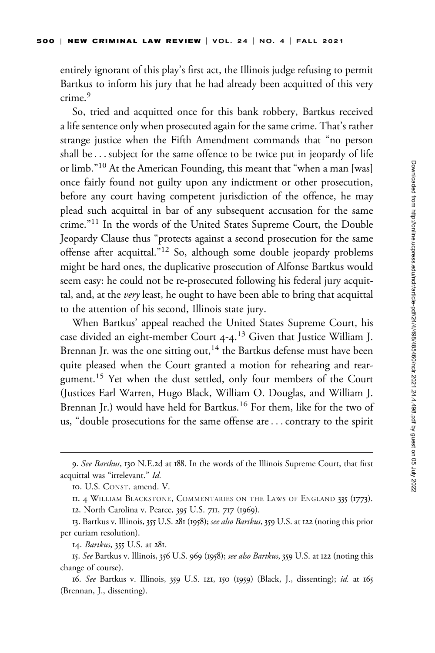entirely ignorant of this play's first act, the Illinois judge refusing to permit Bartkus to inform his jury that he had already been acquitted of this very crime.<sup>9</sup>

So, tried and acquitted once for this bank robbery, Bartkus received a life sentence only when prosecuted again for the same crime. That's rather strange justice when the Fifth Amendment commands that "no person shall be... subject for the same offence to be twice put in jeopardy of life or limb."<sup>10</sup> At the American Founding, this meant that "when a man [was] once fairly found not guilty upon any indictment or other prosecution, before any court having competent jurisdiction of the offence, he may plead such acquittal in bar of any subsequent accusation for the same crime."<sup>11</sup> In the words of the United States Supreme Court, the Double Jeopardy Clause thus "protects against a second prosecution for the same offense after acquittal."<sup>12</sup> So, although some double jeopardy problems might be hard ones, the duplicative prosecution of Alfonse Bartkus would seem easy: he could not be re-prosecuted following his federal jury acquittal, and, at the *very* least, he ought to have been able to bring that acquittal to the attention of his second, Illinois state jury.

When Bartkus' appeal reached the United States Supreme Court, his case divided an eight-member Court 4-4.<sup>13</sup> Given that Justice William J. Brennan Jr. was the one sitting out,  $14$  the Bartkus defense must have been quite pleased when the Court granted a motion for rehearing and reargument.<sup>15</sup> Yet when the dust settled, only four members of the Court (Justices Earl Warren, Hugo Black, William O. Douglas, and William J. Brennan Jr.) would have held for Bartkus.<sup>16</sup> For them, like for the two of us, "double prosecutions for the same offense are...contrary to the spirit

<sup>9.</sup> See Bartkus, 130 N.E.2d at 188. In the words of the Illinois Supreme Court, that first acquittal was "irrelevant." Id.

<sup>10.</sup> U.S. CONST. amend. V.

II. 4 WILLIAM BLACKSTONE, COMMENTARIES ON THE LAWS OF ENGLAND 335 (1773).

<sup>12.</sup> North Carolina v. Pearce, 395 U.S. 711, 717 (1969).

<sup>13.</sup> Bartkus v. Illinois, 355 U.S. 281 (1958); see also Bartkus, 359 U.S. at 122 (noting this prior per curiam resolution).

<sup>14.</sup> Bartkus, 355 U.S. at 281.

<sup>15.</sup> See Bartkus v. Illinois, 356 U.S. 969 (1958); see also Bartkus, 359 U.S. at 122 (noting this change of course).

<sup>16.</sup> See Bartkus v. Illinois, 359 U.S. 121, 150 (1959) (Black, J., dissenting); id. at 165 (Brennan, J., dissenting).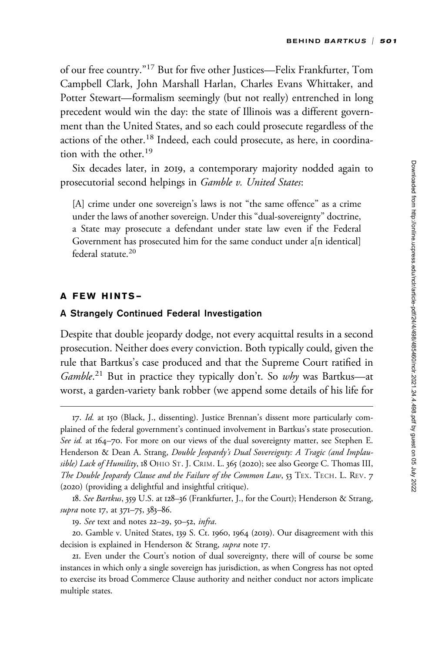of our free country."<sup>17</sup> But for five other Justices—Felix Frankfurter, Tom Campbell Clark, John Marshall Harlan, Charles Evans Whittaker, and Potter Stewart—formalism seemingly (but not really) entrenched in long precedent would win the day: the state of Illinois was a different government than the United States, and so each could prosecute regardless of the actions of the other.<sup>18</sup> Indeed, each could prosecute, as here, in coordination with the other.<sup>19</sup>

Six decades later, in 2019, a contemporary majority nodded again to prosecutorial second helpings in Gamble v. United States:

[A] crime under one sovereign's laws is not "the same offence" as a crime under the laws of another sovereign. Under this "dual-sovereignty" doctrine, a State may prosecute a defendant under state law even if the Federal Government has prosecuted him for the same conduct under a[n identical] federal statute.<sup>20</sup>

## A FEW HINTS—

#### A Strangely Continued Federal Investigation

Despite that double jeopardy dodge, not every acquittal results in a second prosecution. Neither does every conviction. Both typically could, given the rule that Bartkus's case produced and that the Supreme Court ratified in Gamble.<sup>21</sup> But in practice they typically don't. So why was Bartkus-at worst, a garden-variety bank robber (we append some details of his life for

<sup>17.</sup> Id. at 150 (Black, J., dissenting). Justice Brennan's dissent more particularly complained of the federal government's continued involvement in Bartkus's state prosecution. See id. at 164–70. For more on our views of the dual sovereignty matter, see Stephen E. Henderson & Dean A. Strang, Double Jeopardy's Dual Sovereignty: A Tragic (and Implausible) Lack of Humility, 18 OHIO ST. J. CRIM. L. 365 (2020); see also George C. Thomas III, The Double Jeopardy Clause and the Failure of the Common Law, 53 TEX. TECH. L. REV. 7 (2020) (providing a delightful and insightful critique).

<sup>18.</sup> See Bartkus, 359 U.S. at 128-36 (Frankfurter, J., for the Court); Henderson & Strang, supra note 17, at 371-75, 383-86.

<sup>19.</sup> See text and notes 22–29, 50–52, infra.

<sup>20.</sup> Gamble v. United States, 139 S. Ct. 1960, 1964 (2019). Our disagreement with this decision is explained in Henderson & Strang, supra note 17.

<sup>21.</sup> Even under the Court's notion of dual sovereignty, there will of course be some instances in which only a single sovereign has jurisdiction, as when Congress has not opted to exercise its broad Commerce Clause authority and neither conduct nor actors implicate multiple states.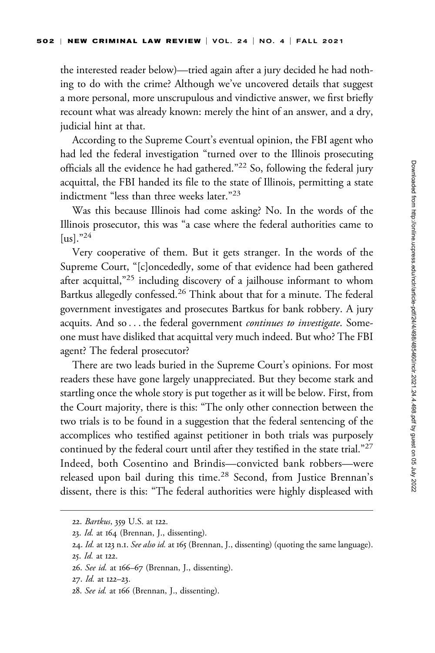the interested reader below)—tried again after a jury decided he had nothing to do with the crime? Although we've uncovered details that suggest a more personal, more unscrupulous and vindictive answer, we first briefly recount what was already known: merely the hint of an answer, and a dry, judicial hint at that.

According to the Supreme Court's eventual opinion, the FBI agent who had led the federal investigation "turned over to the Illinois prosecuting officials all the evidence he had gathered."<sup>22</sup> So, following the federal jury acquittal, the FBI handed its file to the state of Illinois, permitting a state indictment "less than three weeks later."<sup>23</sup>

Was this because Illinois had come asking? No. In the words of the Illinois prosecutor, this was "a case where the federal authorities came to  $\left[\text{us}\right]^{\cdot,24}$ 

Very cooperative of them. But it gets stranger. In the words of the Supreme Court, "[c]oncededly, some of that evidence had been gathered after acquittal,<sup>"25</sup> including discovery of a jailhouse informant to whom Bartkus allegedly confessed.<sup>26</sup> Think about that for a minute. The federal government investigates and prosecutes Bartkus for bank robbery. A jury acquits. And so . . . the federal government continues to investigate. Someone must have disliked that acquittal very much indeed. But who? The FBI agent? The federal prosecutor?

There are two leads buried in the Supreme Court's opinions. For most readers these have gone largely unappreciated. But they become stark and startling once the whole story is put together as it will be below. First, from the Court majority, there is this: "The only other connection between the two trials is to be found in a suggestion that the federal sentencing of the accomplices who testified against petitioner in both trials was purposely continued by the federal court until after they testified in the state trial."<sup>27</sup> Indeed, both Cosentino and Brindis—convicted bank robbers—were released upon bail during this time.<sup>28</sup> Second, from Justice Brennan's dissent, there is this: "The federal authorities were highly displeased with

<sup>22.</sup> Bartkus, 359 U.S. at 122.

<sup>23.</sup> Id. at 164 (Brennan, J., dissenting).

<sup>24.</sup> Id. at 123 n.1. See also id. at 165 (Brennan, J., dissenting) (quoting the same language).

<sup>25.</sup> Id. at 122.

<sup>26.</sup> See id. at 166–67 (Brennan, J., dissenting).

<sup>27.</sup> Id. at 122–23.

<sup>28.</sup> See id. at 166 (Brennan, J., dissenting).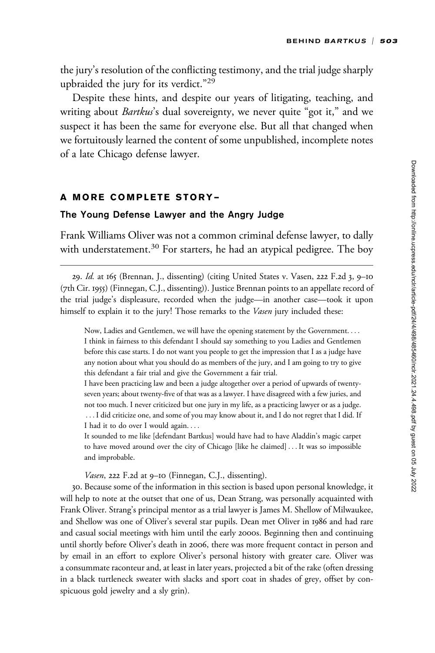the jury's resolution of the conflicting testimony, and the trial judge sharply upbraided the jury for its verdict."<sup>29</sup>

Despite these hints, and despite our years of litigating, teaching, and writing about Bartkus's dual sovereignty, we never quite "got it," and we suspect it has been the same for everyone else. But all that changed when we fortuitously learned the content of some unpublished, incomplete notes of a late Chicago defense lawyer.

# A MORE COMPLETE STORY—

## The Young Defense Lawyer and the Angry Judge

Frank Williams Oliver was not a common criminal defense lawyer, to dally with understatement.<sup>30</sup> For starters, he had an atypical pedigree. The boy

29. Id. at 165 (Brennan, J., dissenting) (citing United States v. Vasen, 222 F.2d 3, 9–10 (7th Cir. 1955) (Finnegan, C.J., dissenting)). Justice Brennan points to an appellate record of the trial judge's displeasure, recorded when the judge—in another case—took it upon himself to explain it to the jury! Those remarks to the *Vasen* jury included these:

Now, Ladies and Gentlemen, we will have the opening statement by the Government. ... I think in fairness to this defendant I should say something to you Ladies and Gentlemen before this case starts. I do not want you people to get the impression that I as a judge have any notion about what you should do as members of the jury, and I am going to try to give this defendant a fair trial and give the Government a fair trial.

I have been practicing law and been a judge altogether over a period of upwards of twentyseven years; about twenty-five of that was as a lawyer. I have disagreed with a few juries, and not too much. I never criticized but one jury in my life, as a practicing lawyer or as a judge. ...I did criticize one, and some of you may know about it, and I do not regret that I did. If I had it to do over I would again. ...

It sounded to me like [defendant Bartkus] would have had to have Aladdin's magic carpet to have moved around over the city of Chicago [like he claimed] ... It was so impossible and improbable.

Vasen, 222 F.2d at 9–10 (Finnegan, C.J., dissenting).

30. Because some of the information in this section is based upon personal knowledge, it will help to note at the outset that one of us, Dean Strang, was personally acquainted with Frank Oliver. Strang's principal mentor as a trial lawyer is James M. Shellow of Milwaukee, and Shellow was one of Oliver's several star pupils. Dean met Oliver in 1986 and had rare and casual social meetings with him until the early 2000s. Beginning then and continuing until shortly before Oliver's death in 2006, there was more frequent contact in person and by email in an effort to explore Oliver's personal history with greater care. Oliver was a consummate raconteur and, at least in later years, projected a bit of the rake (often dressing in a black turtleneck sweater with slacks and sport coat in shades of grey, offset by conspicuous gold jewelry and a sly grin).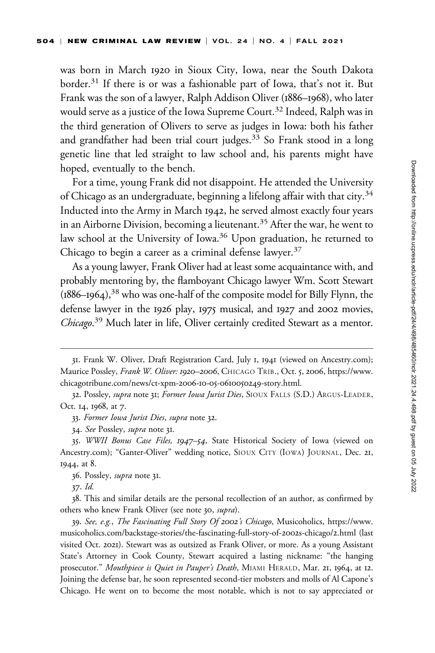was born in March 1920 in Sioux City, Iowa, near the South Dakota border.<sup>31</sup> If there is or was a fashionable part of Iowa, that's not it. But Frank was the son of a lawyer, Ralph Addison Oliver (1886–1968), who later would serve as a justice of the Iowa Supreme Court.<sup>32</sup> Indeed, Ralph was in the third generation of Olivers to serve as judges in Iowa: both his father and grandfather had been trial court judges. $33$  So Frank stood in a long genetic line that led straight to law school and, his parents might have hoped, eventually to the bench.

For a time, young Frank did not disappoint. He attended the University of Chicago as an undergraduate, beginning a lifelong affair with that city.<sup>34</sup> Inducted into the Army in March 1942, he served almost exactly four years in an Airborne Division, becoming a lieutenant.<sup>35</sup> After the war, he went to law school at the University of Iowa.<sup>36</sup> Upon graduation, he returned to Chicago to begin a career as a criminal defense lawyer.<sup>37</sup>

As a young lawyer, Frank Oliver had at least some acquaintance with, and probably mentoring by, the flamboyant Chicago lawyer Wm. Scott Stewart  $(1886–1964),$ <sup>38</sup> who was one-half of the composite model for Billy Flynn, the defense lawyer in the 1926 play, 1975 musical, and 1927 and 2002 movies, Chicago.<sup>39</sup> Much later in life, Oliver certainly credited Stewart as a mentor.

36. Possley, supra note 31.

37. Id.

<sup>31.</sup> Frank W. Oliver, Draft Registration Card, July 1, 1941 (viewed on [Ancestry.com\)](Ancestry.com); Maurice Possley, Frank W. Oliver: 1920–2006, CHICAGO TRIB., Oct. 5, 2006, [https://www.](https://www.chicagotribune.com/news/ct-xpm-2006-10-05-0610050249-story.html) [chicagotribune.com/news/ct-xpm-](https://www.chicagotribune.com/news/ct-xpm-2006-10-05-0610050249-story.html)2006-10-05-0610050249-story.html.

<sup>32.</sup> Possley, supra note 31; Former Iowa Jurist Dies, SIOUX FALLS (S.D.) ARGUS-LEADER, Oct. 14, 1968, at 7.

<sup>33.</sup> Former Iowa Jurist Dies, supra note 32.

<sup>34.</sup> See Possley, supra note 31.

<sup>35.</sup> WWII Bonus Case Files, 1947–54, State Historical Society of Iowa (viewed on [Ancestry.com\)](Ancestry.com); "Ganter-Oliver" wedding notice, SIOUX CITY (IOWA) JOURNAL, Dec. 21, 1944, at 8.

<sup>38.</sup> This and similar details are the personal recollection of an author, as confirmed by others who knew Frank Oliver (see note 30, supra).

<sup>39.</sup> See, e.g., The Fascinating Full Story Of 2002's Chicago, Musicoholics, [https://www.](https://www.musicoholics.com/backstage-stories/the-fascinating-full-story-of-2002s-chicago/2.html) [musicoholics.com/backstage-stories/the-fascinating-full-story-of-](https://www.musicoholics.com/backstage-stories/the-fascinating-full-story-of-2002s-chicago/2.html)2002s-chicago/2.html (last visited Oct. 2021). Stewart was as outsized as Frank Oliver, or more. As a young Assistant State's Attorney in Cook County, Stewart acquired a lasting nickname: "the hanging prosecutor." Mouthpiece is Quiet in Pauper's Death, MIAMI HERALD, Mar. 21, 1964, at 12. Joining the defense bar, he soon represented second-tier mobsters and molls of Al Capone's Chicago. He went on to become the most notable, which is not to say appreciated or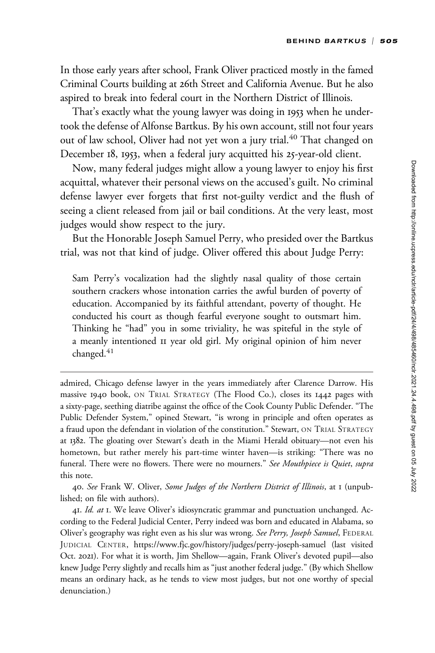In those early years after school, Frank Oliver practiced mostly in the famed Criminal Courts building at 26th Street and California Avenue. But he also aspired to break into federal court in the Northern District of Illinois.

That's exactly what the young lawyer was doing in 1953 when he undertook the defense of Alfonse Bartkus. By his own account, still not four years out of law school, Oliver had not yet won a jury trial.<sup>40</sup> That changed on December 18, 1953, when a federal jury acquitted his 25-year-old client.

Now, many federal judges might allow a young lawyer to enjoy his first acquittal, whatever their personal views on the accused's guilt. No criminal defense lawyer ever forgets that first not-guilty verdict and the flush of seeing a client released from jail or bail conditions. At the very least, most judges would show respect to the jury.

But the Honorable Joseph Samuel Perry, who presided over the Bartkus trial, was not that kind of judge. Oliver offered this about Judge Perry:

Sam Perry's vocalization had the slightly nasal quality of those certain southern crackers whose intonation carries the awful burden of poverty of education. Accompanied by its faithful attendant, poverty of thought. He conducted his court as though fearful everyone sought to outsmart him. Thinking he "had" you in some triviality, he was spiteful in the style of a meanly intentioned 11 year old girl. My original opinion of him never changed.<sup>41</sup>

admired, Chicago defense lawyer in the years immediately after Clarence Darrow. His massive 1940 book, ON TRIAL STRATEGY (The Flood Co.), closes its 1442 pages with a sixty-page, seething diatribe against the office of the Cook County Public Defender. "The Public Defender System," opined Stewart, "is wrong in principle and often operates as a fraud upon the defendant in violation of the constitution." Stewart, ON TRIAL STRATEGY at 1382. The gloating over Stewart's death in the Miami Herald obituary—not even his hometown, but rather merely his part-time winter haven—is striking: "There was no funeral. There were no flowers. There were no mourners." See Mouthpiece is Quiet, supra this note.

40. See Frank W. Oliver, Some Judges of the Northern District of Illinois, at I (unpublished; on file with authors).

41. Id. at 1. We leave Oliver's idiosyncratic grammar and punctuation unchanged. According to the Federal Judicial Center, Perry indeed was born and educated in Alabama, so Oliver's geography was right even as his slur was wrong. See Perry, Joseph Samuel, FEDERAL JUDICIAL CENTER,<https://www.fjc.gov/history/judges/perry-joseph-samuel> (last visited Oct. 2021). For what it is worth, Jim Shellow—again, Frank Oliver's devoted pupil—also knew Judge Perry slightly and recalls him as "just another federal judge." (By which Shellow means an ordinary hack, as he tends to view most judges, but not one worthy of special denunciation.)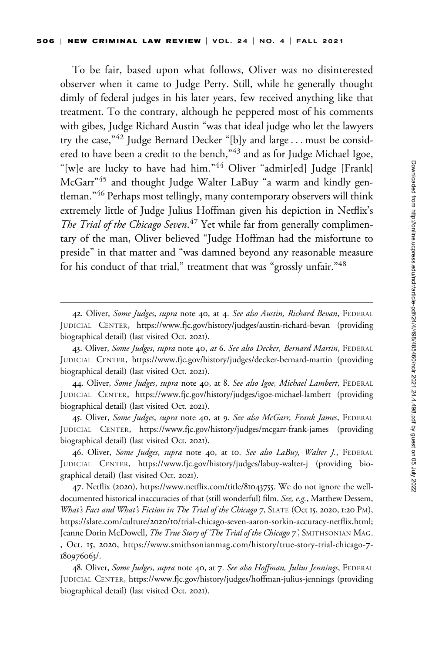To be fair, based upon what follows, Oliver was no disinterested observer when it came to Judge Perry. Still, while he generally thought dimly of federal judges in his later years, few received anything like that treatment. To the contrary, although he peppered most of his comments with gibes, Judge Richard Austin "was that ideal judge who let the lawyers try the case,"<sup>42</sup> Judge Bernard Decker "[b]y and large... must be considered to have been a credit to the bench,"<sup>43</sup> and as for Judge Michael Igoe, "[w]e are lucky to have had him."44 Oliver "admir[ed] Judge [Frank] McGarr"<sup>45</sup> and thought Judge Walter LaBuy "a warm and kindly gentleman."<sup>46</sup> Perhaps most tellingly, many contemporary observers will think extremely little of Judge Julius Hoffman given his depiction in Netflix's The Trial of the Chicago Seven.<sup>47</sup> Yet while far from generally complimentary of the man, Oliver believed "Judge Hoffman had the misfortune to preside" in that matter and "was damned beyond any reasonable measure for his conduct of that trial," treatment that was "grossly unfair."<sup>48</sup>

44. Oliver, Some Judges, supra note 40, at 8. See also Igoe, Michael Lambert, FEDERAL JUDICIAL CENTER,<https://www.fjc.gov/history/judges/igoe-michael-lambert> (providing biographical detail) (last visited Oct. 2021).

45. Oliver, Some Judges, supra note 40, at 9. See also McGarr, Frank James, FEDERAL JUDICIAL CENTER,<https://www.fjc.gov/history/judges/mcgarr-frank-james> (providing biographical detail) (last visited Oct. 2021).

46. Oliver, Some Judges, supra note 40, at 10. See also LaBuy, Walter J., FEDERAL JUDICIAL CENTER,<https://www.fjc.gov/history/judges/labuy-walter-j> (providing biographical detail) (last visited Oct. 2021).

47. Netflix (2020), [https://www.netflix.com/title/](https://www.netflix.com/title/81043755)81043755. We do not ignore the welldocumented historical inaccuracies of that (still wonderful) film. See, e.g., Matthew Dessem, What's Fact and What's Fiction in The Trial of the Chicago 7, SLATE (Oct 15, 2020, 1:20 PM), https://slate.com/culture/2020/10[/trial-chicago-seven-aaron-sorkin-accuracy-netflix.html](https://slate.com/culture/2020/10/trial-chicago-seven-aaron-sorkin-accuracy-netflix.html); Jeanne Dorin McDowell, The True Story of 'The Trial of the Chicago 7', SMITHSONIAN MAG. , Oct. 15, 2020, [https://www.smithsonianmag.com/history/true-story-trial-chicago-](https://www.smithsonianmag.com/history/true-story-trial-chicago-7-180976063/)7- [180976063](https://www.smithsonianmag.com/history/true-story-trial-chicago-7-180976063/)/.

48. Oliver, Some Judges, supra note 40, at 7. See also Hoffman, Julius Jennings, FEDERAL JUDICIAL CENTER,<https://www.fjc.gov/history/judges/hoffman-julius-jennings> (providing biographical detail) (last visited Oct. 2021).

<sup>42.</sup> Oliver, Some Judges, supra note 40, at 4. See also Austin, Richard Bevan, FEDERAL JUDICIAL CENTER,<https://www.fjc.gov/history/judges/austin-richard-bevan> (providing biographical detail) (last visited Oct. 2021).

<sup>43.</sup> Oliver, Some Judges, supra note 40, at 6. See also Decker, Bernard Martin, FEDERAL JUDICIAL CENTER,<https://www.fjc.gov/history/judges/decker-bernard-martin> (providing biographical detail) (last visited Oct. 2021).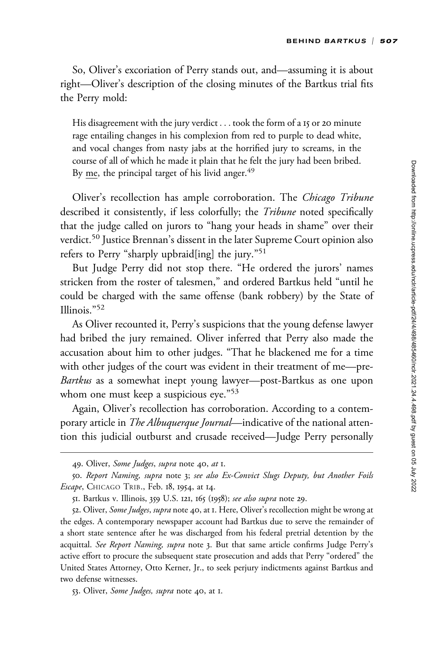So, Oliver's excoriation of Perry stands out, and—assuming it is about right—Oliver's description of the closing minutes of the Bartkus trial fits the Perry mold:

His disagreement with the jury verdict ... took the form of a 15 or 20 minute rage entailing changes in his complexion from red to purple to dead white, and vocal changes from nasty jabs at the horrified jury to screams, in the course of all of which he made it plain that he felt the jury had been bribed. By  $me$ , the principal target of his livid anger.<sup>49</sup>

Oliver's recollection has ample corroboration. The *Chicago Tribune* described it consistently, if less colorfully; the *Tribune* noted specifically that the judge called on jurors to "hang your heads in shame" over their verdict.<sup>50</sup> Justice Brennan's dissent in the later Supreme Court opinion also refers to Perry "sharply upbraid[ing] the jury."51

But Judge Perry did not stop there. "He ordered the jurors' names stricken from the roster of talesmen," and ordered Bartkus held "until he could be charged with the same offense (bank robbery) by the State of Illinois."<sup>52</sup>

As Oliver recounted it, Perry's suspicions that the young defense lawyer had bribed the jury remained. Oliver inferred that Perry also made the accusation about him to other judges. "That he blackened me for a time with other judges of the court was evident in their treatment of me—pre-Bartkus as a somewhat inept young lawyer—post-Bartkus as one upon whom one must keep a suspicious eye."<sup>53</sup>

Again, Oliver's recollection has corroboration. According to a contemporary article in The Albuquerque Journal—indicative of the national attention this judicial outburst and crusade received—Judge Perry personally

53. Oliver, Some Judges, supra note 40, at I.

<sup>49.</sup> Oliver, Some Judges, supra note 40, at I.

<sup>50.</sup> Report Naming, supra note 3; see also Ex-Convict Slugs Deputy, but Another Foils Escape, CHICAGO TRIB., Feb. 18, 1954, at 14.

<sup>51.</sup> Bartkus v. Illinois, 359 U.S. 121, 165 (1958); see also supra note 29.

<sup>52.</sup> Oliver, *Some Judges, supra* note 40, at 1. Here, Oliver's recollection might be wrong at the edges. A contemporary newspaper account had Bartkus due to serve the remainder of a short state sentence after he was discharged from his federal pretrial detention by the acquittal. See Report Naming, supra note 3. But that same article confirms Judge Perry's active effort to procure the subsequent state prosecution and adds that Perry "ordered" the United States Attorney, Otto Kerner, Jr., to seek perjury indictments against Bartkus and two defense witnesses.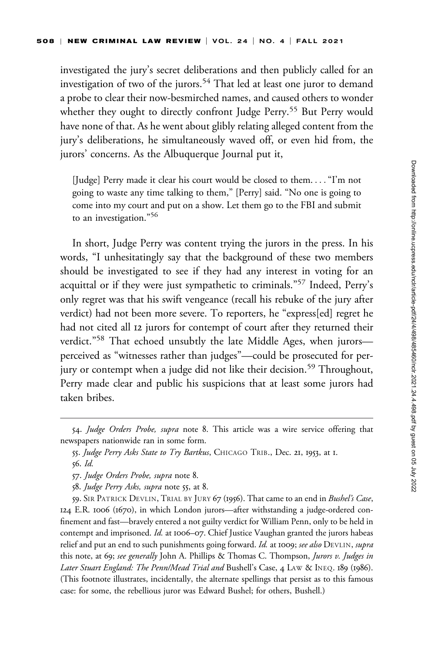investigated the jury's secret deliberations and then publicly called for an investigation of two of the jurors.<sup>54</sup> That led at least one juror to demand a probe to clear their now-besmirched names, and caused others to wonder whether they ought to directly confront Judge Perry.<sup>55</sup> But Perry would have none of that. As he went about glibly relating alleged content from the jury's deliberations, he simultaneously waved off, or even hid from, the jurors' concerns. As the Albuquerque Journal put it,

[Judge] Perry made it clear his court would be closed to them. ..."I'm not going to waste any time talking to them," [Perry] said. "No one is going to come into my court and put on a show. Let them go to the FBI and submit to an investigation."<sup>56</sup>

In short, Judge Perry was content trying the jurors in the press. In his words, "I unhesitatingly say that the background of these two members should be investigated to see if they had any interest in voting for an acquittal or if they were just sympathetic to criminals."<sup>57</sup> Indeed, Perry's only regret was that his swift vengeance (recall his rebuke of the jury after verdict) had not been more severe. To reporters, he "express[ed] regret he had not cited all 12 jurors for contempt of court after they returned their verdict."58 That echoed unsubtly the late Middle Ages, when jurors perceived as "witnesses rather than judges"—could be prosecuted for perjury or contempt when a judge did not like their decision.<sup>59</sup> Throughout, Perry made clear and public his suspicions that at least some jurors had taken bribes.

<sup>54.</sup> Judge Orders Probe, supra note 8. This article was a wire service offering that newspapers nationwide ran in some form.

<sup>55.</sup> Judge Perry Asks State to Try Bartkus, CHICAGO TRIB., Dec. 21, 1953, at I. 56. Id.

<sup>57.</sup> Judge Orders Probe, supra note 8.

<sup>58.</sup> Judge Perry Asks, supra note 55, at 8.

<sup>59.</sup> SIR PATRICK DEVLIN, TRIAL BY JURY 67 (1956). That came to an end in Bushel's Case, 124 E.R. 1006 (1670), in which London jurors—after withstanding a judge-ordered confinement and fast—bravely entered a not guilty verdict for William Penn, only to be held in contempt and imprisoned. Id. at 1006–07. Chief Justice Vaughan granted the jurors habeas relief and put an end to such punishments going forward. Id. at 1009; see also DEVLIN, supra this note, at 69; see generally John A. Phillips & Thomas C. Thompson, Jurors v. Judges in Later Stuart England: The Penn/Mead Trial and Bushell's Case, 4 LAW & INEQ. 189 (1986). (This footnote illustrates, incidentally, the alternate spellings that persist as to this famous case: for some, the rebellious juror was Edward Bushel; for others, Bushell.)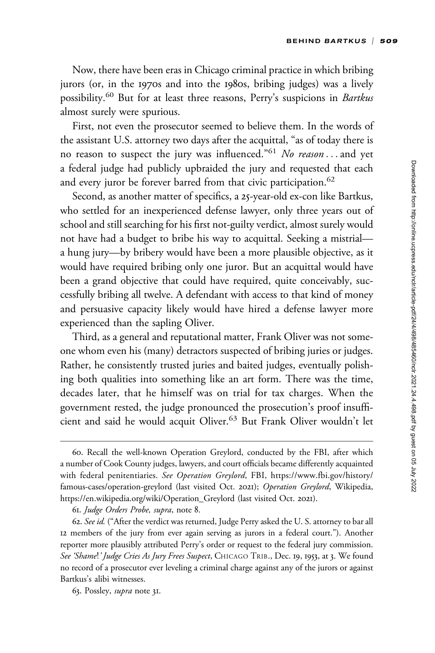Now, there have been eras in Chicago criminal practice in which bribing jurors (or, in the 1970s and into the 1980s, bribing judges) was a lively possibility.<sup>60</sup> But for at least three reasons, Perry's suspicions in Bartkus almost surely were spurious.

First, not even the prosecutor seemed to believe them. In the words of the assistant U.S. attorney two days after the acquittal, "as of today there is no reason to suspect the jury was influenced."<sup>61</sup> No reason ... and yet a federal judge had publicly upbraided the jury and requested that each and every juror be forever barred from that civic participation.<sup>62</sup>

Second, as another matter of specifics, a 25-year-old ex-con like Bartkus, who settled for an inexperienced defense lawyer, only three years out of school and still searching for his first not-guilty verdict, almost surely would not have had a budget to bribe his way to acquittal. Seeking a mistrial a hung jury—by bribery would have been a more plausible objective, as it would have required bribing only one juror. But an acquittal would have been a grand objective that could have required, quite conceivably, successfully bribing all twelve. A defendant with access to that kind of money and persuasive capacity likely would have hired a defense lawyer more experienced than the sapling Oliver.

Third, as a general and reputational matter, Frank Oliver was not someone whom even his (many) detractors suspected of bribing juries or judges. Rather, he consistently trusted juries and baited judges, eventually polishing both qualities into something like an art form. There was the time, decades later, that he himself was on trial for tax charges. When the government rested, the judge pronounced the prosecution's proof insufficient and said he would acquit Oliver.<sup>63</sup> But Frank Oliver wouldn't let

<sup>60.</sup> Recall the well-known Operation Greylord, conducted by the FBI, after which a number of Cook County judges, lawyers, and court officials became differently acquainted with federal penitentiaries. See Operation Greylord, FBI, [https://www.fbi.gov/history/](https://www.fbi.gov/history/famous-cases/operation-greylord) [famous-cases/operation-greylord](https://www.fbi.gov/history/famous-cases/operation-greylord) (last visited Oct. 2021); Operation Greylord, Wikipedia, [https://en.wikipedia.org/wiki/Operation\\_Greylord](https://en.wikipedia.org/wiki/Operation_Greylord) (last visited Oct. 2021).

<sup>61.</sup> Judge Orders Probe, supra, note 8.

<sup>62.</sup> See id. ("After the verdict was returned, Judge Perry asked the U. S. attorney to bar all 12 members of the jury from ever again serving as jurors in a federal court."). Another reporter more plausibly attributed Perry's order or request to the federal jury commission. See 'Shame!' Judge Cries As Jury Frees Suspect, CHICAGO TRIB., Dec. 19, 1953, at 3. We found no record of a prosecutor ever leveling a criminal charge against any of the jurors or against Bartkus's alibi witnesses.

<sup>63.</sup> Possley, supra note 31.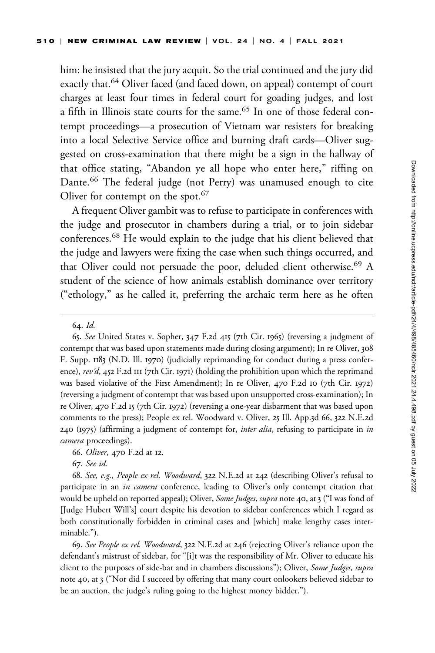him: he insisted that the jury acquit. So the trial continued and the jury did exactly that.<sup>64</sup> Oliver faced (and faced down, on appeal) contempt of court charges at least four times in federal court for goading judges, and lost a fifth in Illinois state courts for the same.<sup>65</sup> In one of those federal contempt proceedings—a prosecution of Vietnam war resisters for breaking into a local Selective Service office and burning draft cards—Oliver suggested on cross-examination that there might be a sign in the hallway of that office stating, "Abandon ye all hope who enter here," riffing on Dante.<sup>66</sup> The federal judge (not Perry) was unamused enough to cite Oliver for contempt on the spot.<sup>67</sup>

A frequent Oliver gambit was to refuse to participate in conferences with the judge and prosecutor in chambers during a trial, or to join sidebar conferences.<sup>68</sup> He would explain to the judge that his client believed that the judge and lawyers were fixing the case when such things occurred, and that Oliver could not persuade the poor, deluded client otherwise.<sup>69</sup> A student of the science of how animals establish dominance over territory ("ethology," as he called it, preferring the archaic term here as he often

65. See United States v. Sopher, 347 F.2d 415 (7th Cir. 1965) (reversing a judgment of contempt that was based upon statements made during closing argument); In re Oliver, 308 F. Supp. 1183 (N.D. Ill. 1970) (judicially reprimanding for conduct during a press conference), rev'd, 452 F.2d III (7th Cir. 1971) (holding the prohibition upon which the reprimand was based violative of the First Amendment); In re Oliver, 470 F.2d 10 (7th Cir. 1972) (reversing a judgment of contempt that was based upon unsupported cross-examination); In re Oliver, 470 F.2d 15 (7th Cir. 1972) (reversing a one-year disbarment that was based upon comments to the press); People ex rel. Woodward v. Oliver, 25 Ill. App.3d 66, 322 N.E.2d  $240$  (1975) (affirming a judgment of contempt for, *inter alia*, refusing to participate in *in* camera proceedings).

66. Oliver, 470 F.2d at 12.

67. See id.

68. See, e.g., People ex rel. Woodward, 322 N.E.2d at 242 (describing Oliver's refusal to participate in an in camera conference, leading to Oliver's only contempt citation that would be upheld on reported appeal); Oliver, *Some Judges, supra* note 40, at 3 ("I was fond of [Judge Hubert Will's] court despite his devotion to sidebar conferences which I regard as both constitutionally forbidden in criminal cases and [which] make lengthy cases interminable.").

69. See People ex rel. Woodward, 322 N.E.2d at 246 (rejecting Oliver's reliance upon the defendant's mistrust of sidebar, for "[i]t was the responsibility of Mr. Oliver to educate his client to the purposes of side-bar and in chambers discussions"); Oliver, Some Judges, supra note 40, at 3 ("Nor did I succeed by offering that many court onlookers believed sidebar to be an auction, the judge's ruling going to the highest money bidder.").

<sup>64.</sup> Id.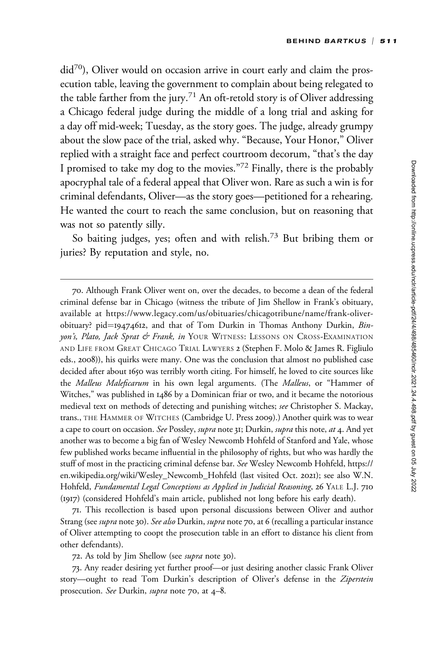$\text{did}^{70}$ ), Oliver would on occasion arrive in court early and claim the prosecution table, leaving the government to complain about being relegated to the table farther from the jury.<sup>71</sup> An oft-retold story is of Oliver addressing a Chicago federal judge during the middle of a long trial and asking for a day off mid-week; Tuesday, as the story goes. The judge, already grumpy about the slow pace of the trial, asked why. "Because, Your Honor," Oliver replied with a straight face and perfect courtroom decorum, "that's the day I promised to take my dog to the movies."<sup>72</sup> Finally, there is the probably apocryphal tale of a federal appeal that Oliver won. Rare as such a win is for criminal defendants, Oliver—as the story goes—petitioned for a rehearing. He wanted the court to reach the same conclusion, but on reasoning that was not so patently silly.

So baiting judges, yes; often and with relish.<sup>73</sup> But bribing them or juries? By reputation and style, no.

70. Although Frank Oliver went on, over the decades, to become a dean of the federal criminal defense bar in Chicago (witness the tribute of Jim Shellow in Frank's obituary, available at [https://www.legacy.com/us/obituaries/chicagotribune/name/frank-oliver](https://www.legacy.com/us/obituaries/chicagotribune/name/frank-oliver-obituary?)[obituary?](https://www.legacy.com/us/obituaries/chicagotribune/name/frank-oliver-obituary?) pid=19474612, and that of Tom Durkin in Thomas Anthony Durkin, Binyon's, Plato, Jack Sprat & Frank, in YOUR WITNESS: LESSONS ON CROSS-EXAMINATION AND LIFE FROM GREAT CHICAGO TRIAL LAWYERS 2 (Stephen F. Molo & James R. Figliulo eds., 2008)), his quirks were many. One was the conclusion that almost no published case decided after about 1650 was terribly worth citing. For himself, he loved to cite sources like the Malleus Maleficarum in his own legal arguments. (The Malleus, or "Hammer of Witches," was published in 1486 by a Dominican friar or two, and it became the notorious medieval text on methods of detecting and punishing witches; see Christopher S. Mackay, trans., THE HAMMER OF WITCHES (Cambridge U. Press 2009).) Another quirk was to wear a cape to court on occasion. See Possley, supra note 31; Durkin, supra this note, at 4. And yet another was to become a big fan of Wesley Newcomb Hohfeld of Stanford and Yale, whose few published works became influential in the philosophy of rights, but who was hardly the stuff of most in the practicing criminal defense bar. See Wesley Newcomb Hohfeld, [https://](https://en.wikipedia.org/wiki/Wesley_Newcomb_Hohfeld) [en.wikipedia.org/wiki/Wesley\\_Newcomb\\_Hohfeld](https://en.wikipedia.org/wiki/Wesley_Newcomb_Hohfeld) (last visited Oct. 2021); see also W.N. Hohfeld, Fundamental Legal Conceptions as Applied in Judicial Reasoning, 26 YALE L.J. 710 (1917) (considered Hohfeld's main article, published not long before his early death).

71. This recollection is based upon personal discussions between Oliver and author Strang (see supra note 30). See also Durkin, supra note 70, at 6 (recalling a particular instance of Oliver attempting to coopt the prosecution table in an effort to distance his client from other defendants).

72. As told by Jim Shellow (see *supra* note 30).

73. Any reader desiring yet further proof—or just desiring another classic Frank Oliver story-ought to read Tom Durkin's description of Oliver's defense in the Ziperstein prosecution. See Durkin, supra note 70, at 4–8.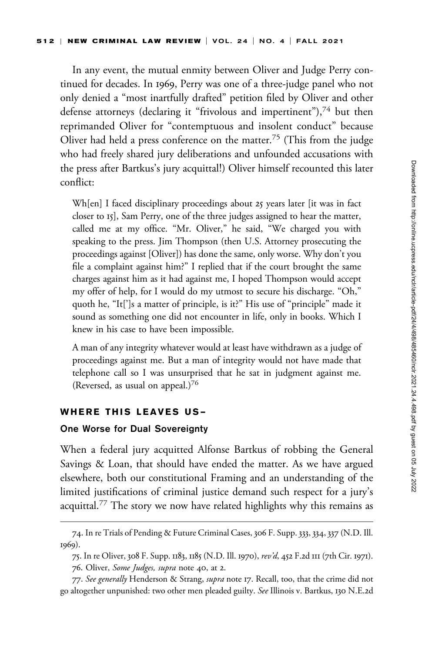In any event, the mutual enmity between Oliver and Judge Perry continued for decades. In 1969, Perry was one of a three-judge panel who not only denied a "most inartfully drafted" petition filed by Oliver and other defense attorneys (declaring it "frivolous and impertinent"),<sup>74</sup> but then reprimanded Oliver for "contemptuous and insolent conduct" because Oliver had held a press conference on the matter.<sup>75</sup> (This from the judge who had freely shared jury deliberations and unfounded accusations with the press after Bartkus's jury acquittal!) Oliver himself recounted this later conflict:

Wh[en] I faced disciplinary proceedings about 25 years later [it was in fact closer to 15], Sam Perry, one of the three judges assigned to hear the matter, called me at my office. "Mr. Oliver," he said, "We charged you with speaking to the press. Jim Thompson (then U.S. Attorney prosecuting the proceedings against [Oliver]) has done the same, only worse. Why don't you file a complaint against him?" I replied that if the court brought the same charges against him as it had against me, I hoped Thompson would accept my offer of help, for I would do my utmost to secure his discharge. "Oh," quoth he, "It[']s a matter of principle, is it?" His use of "principle" made it sound as something one did not encounter in life, only in books. Which I knew in his case to have been impossible.

A man of any integrity whatever would at least have withdrawn as a judge of proceedings against me. But a man of integrity would not have made that telephone call so I was unsurprised that he sat in judgment against me. (Reversed, as usual on appeal.) $76$ 

#### WHERE THIS LEAVES US—

#### One Worse for Dual Sovereignty

When a federal jury acquitted Alfonse Bartkus of robbing the General Savings & Loan, that should have ended the matter. As we have argued elsewhere, both our constitutional Framing and an understanding of the limited justifications of criminal justice demand such respect for a jury's acquittal.<sup>77</sup> The story we now have related highlights why this remains as

<sup>74.</sup> In re Trials of Pending & Future Criminal Cases, 306 F. Supp. 333, 334, 337 (N.D. Ill. 1969).

<sup>75.</sup> In re Oliver, 308 F. Supp. 1183, 1185 (N.D. Ill. 1970), rev'd, 452 F.2d 111 (7th Cir. 1971). 76. Oliver, Some Judges, supra note 40, at 2.

<sup>77.</sup> See generally Henderson & Strang, supra note 17. Recall, too, that the crime did not go altogether unpunished: two other men pleaded guilty. See Illinois v. Bartkus, 130 N.E.2d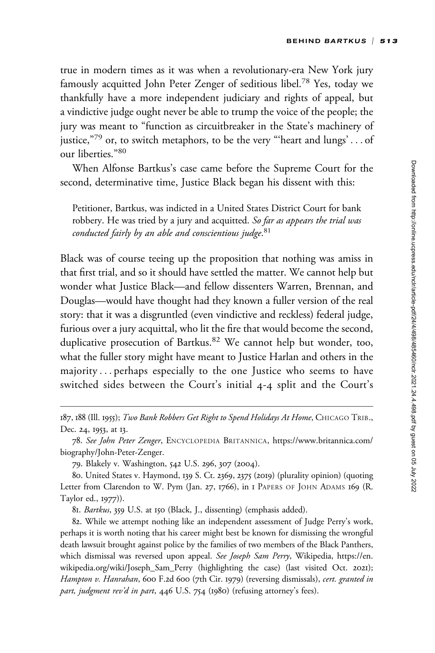true in modern times as it was when a revolutionary-era New York jury famously acquitted John Peter Zenger of seditious libel.<sup>78</sup> Yes, today we thankfully have a more independent judiciary and rights of appeal, but a vindictive judge ought never be able to trump the voice of the people; the jury was meant to "function as circuitbreaker in the State's machinery of justice,"79 or, to switch metaphors, to be the very "'heart and lungs' . . . of our liberties."<sup>80</sup>

When Alfonse Bartkus's case came before the Supreme Court for the second, determinative time, Justice Black began his dissent with this:

Petitioner, Bartkus, was indicted in a United States District Court for bank robbery. He was tried by a jury and acquitted. So far as appears the trial was conducted fairly by an able and conscientious judge. 81

Black was of course teeing up the proposition that nothing was amiss in that first trial, and so it should have settled the matter. We cannot help but wonder what Justice Black—and fellow dissenters Warren, Brennan, and Douglas—would have thought had they known a fuller version of the real story: that it was a disgruntled (even vindictive and reckless) federal judge, furious over a jury acquittal, who lit the fire that would become the second, duplicative prosecution of Bartkus.<sup>82</sup> We cannot help but wonder, too, what the fuller story might have meant to Justice Harlan and others in the majority ... perhaps especially to the one Justice who seems to have switched sides between the Court's initial 4-4 split and the Court's

187, 188 (Ill. 1955); Two Bank Robbers Get Right to Spend Holidays At Home, CHICAGO TRIB., Dec. 24, 1953, at 13.

78. See John Peter Zenger, ENCYCLOPEDIA BRITANNICA, [https://www.britannica.com/](https://www.britannica.com/biography/John-Peter-Zenger) [biography/John-Peter-Zenger.](https://www.britannica.com/biography/John-Peter-Zenger)

79. Blakely v. Washington, 542 U.S. 296, 307 (2004).

80. United States v. Haymond, 139 S. Ct. 2369, 2375 (2019) (plurality opinion) (quoting Letter from Clarendon to W. Pym (Jan. 27, 1766), in I PAPERS OF JOHN ADAMS 169 (R. Taylor ed., 1977)).

81. Bartkus, 359 U.S. at 150 (Black, J., dissenting) (emphasis added).

82. While we attempt nothing like an independent assessment of Judge Perry's work, perhaps it is worth noting that his career might best be known for dismissing the wrongful death lawsuit brought against police by the families of two members of the Black Panthers, which dismissal was reversed upon appeal. See Joseph Sam Perry, Wikipedia, [https://en.](https://en.wikipedia.org/wiki/Joseph_Sam_Perry) [wikipedia.org/wiki/Joseph\\_Sam\\_Perry](https://en.wikipedia.org/wiki/Joseph_Sam_Perry) (highlighting the case) (last visited Oct. 2021); Hampton v. Hanrahan, 600 F.2d 600 (7th Cir. 1979) (reversing dismissals), cert. granted in part, judgment rev'd in part, 446 U.S. 754 (1980) (refusing attorney's fees).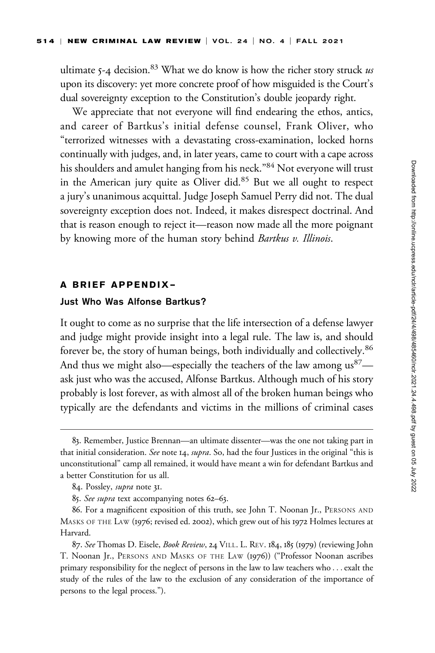ultimate 5-4 decision.<sup>83</sup> What we do know is how the richer story struck us upon its discovery: yet more concrete proof of how misguided is the Court's dual sovereignty exception to the Constitution's double jeopardy right.

We appreciate that not everyone will find endearing the ethos, antics, and career of Bartkus's initial defense counsel, Frank Oliver, who "terrorized witnesses with a devastating cross-examination, locked horns continually with judges, and, in later years, came to court with a cape across his shoulders and amulet hanging from his neck."<sup>84</sup> Not everyone will trust in the American jury quite as Oliver did.<sup>85</sup> But we all ought to respect a jury's unanimous acquittal. Judge Joseph Samuel Perry did not. The dual sovereignty exception does not. Indeed, it makes disrespect doctrinal. And that is reason enough to reject it—reason now made all the more poignant by knowing more of the human story behind *Bartkus v. Illinois*.

#### A BRIEF APPENDIX—

## Just Who Was Alfonse Bartkus?

It ought to come as no surprise that the life intersection of a defense lawyer and judge might provide insight into a legal rule. The law is, and should forever be, the story of human beings, both individually and collectively.<sup>86</sup> And thus we might also—especially the teachers of the law among  $us^{87}$  ask just who was the accused, Alfonse Bartkus. Although much of his story probably is lost forever, as with almost all of the broken human beings who typically are the defendants and victims in the millions of criminal cases

<sup>83.</sup> Remember, Justice Brennan—an ultimate dissenter—was the one not taking part in that initial consideration. See note 14, supra. So, had the four Justices in the original "this is unconstitutional" camp all remained, it would have meant a win for defendant Bartkus and a better Constitution for us all.

<sup>84.</sup> Possley, supra note 31.

<sup>85.</sup> See supra text accompanying notes 62–63.

<sup>86.</sup> For a magnificent exposition of this truth, see John T. Noonan Jr., PERSONS AND MASKS OF THE LAW (1976; revised ed. 2002), which grew out of his 1972 Holmes lectures at Harvard.

<sup>87.</sup> See Thomas D. Eisele, Book Review, 24 VILL. L. REV. 184, 185 (1979) (reviewing John T. Noonan Jr., PERSONS AND MASKS OF THE LAW (1976)) ("Professor Noonan ascribes primary responsibility for the neglect of persons in the law to law teachers who . . . exalt the study of the rules of the law to the exclusion of any consideration of the importance of persons to the legal process.").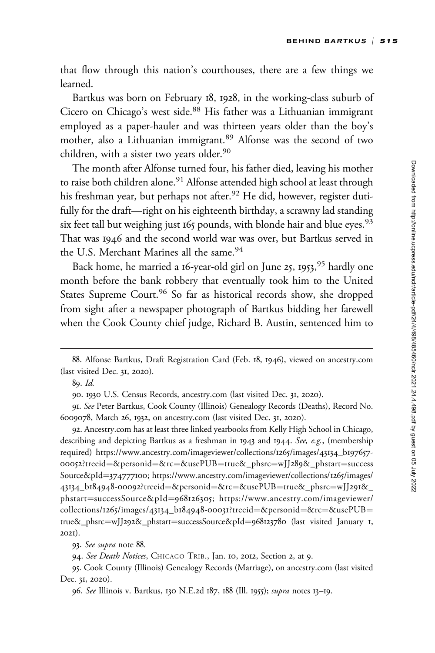that flow through this nation's courthouses, there are a few things we learned.

Bartkus was born on February 18, 1928, in the working-class suburb of Cicero on Chicago's west side.<sup>88</sup> His father was a Lithuanian immigrant employed as a paper-hauler and was thirteen years older than the boy's mother, also a Lithuanian immigrant.<sup>89</sup> Alfonse was the second of two children, with a sister two years older.<sup>90</sup>

The month after Alfonse turned four, his father died, leaving his mother to raise both children alone.<sup>91</sup> Alfonse attended high school at least through his freshman year, but perhaps not after.<sup>92</sup> He did, however, register dutifully for the draft—right on his eighteenth birthday, a scrawny lad standing six feet tall but weighing just  $165$  pounds, with blonde hair and blue eyes.<sup>93</sup> That was 1946 and the second world war was over, but Bartkus served in the U.S. Merchant Marines all the same.<sup>94</sup>

Back home, he married a 16-year-old girl on June 25, 1953,<sup>95</sup> hardly one month before the bank robbery that eventually took him to the United States Supreme Court.<sup>96</sup> So far as historical records show, she dropped from sight after a newspaper photograph of Bartkus bidding her farewell when the Cook County chief judge, Richard B. Austin, sentenced him to

92. <Ancestry.com> has at least three linked yearbooks from Kelly High School in Chicago, describing and depicting Bartkus as a freshman in 1943 and 1944. See, e.g., (membership required) [https://www.ancestry.com/imageviewer/collections/](https://www.ancestry.com/imageviewer/collections/1265/images/43134_b197657-00052? treeid=&personid=&rc=&usePUB=true&_phsrc=wJJ289&_phstart=successSource&pId=374777100)1265/images/43134\_b197657- 00052[?treeid](https://www.ancestry.com/imageviewer/collections/1265/images/43134_b197657-00052? treeid=&personid=&rc=&usePUB=true&_phsrc=wJJ289&_phstart=successSource&pId=374777100)=[&personid](https://www.ancestry.com/imageviewer/collections/1265/images/43134_b197657-00052? treeid=&personid=&rc=&usePUB=true&_phsrc=wJJ289&_phstart=successSource&pId=374777100)=[&rc](https://www.ancestry.com/imageviewer/collections/1265/images/43134_b197657-00052? treeid=&personid=&rc=&usePUB=true&_phsrc=wJJ289&_phstart=successSource&pId=374777100)=[&usePUB](https://www.ancestry.com/imageviewer/collections/1265/images/43134_b197657-00052? treeid=&personid=&rc=&usePUB=true&_phsrc=wJJ289&_phstart=successSource&pId=374777100)=[true&\\_phsrc](https://www.ancestry.com/imageviewer/collections/1265/images/43134_b197657-00052? treeid=&personid=&rc=&usePUB=true&_phsrc=wJJ289&_phstart=successSource&pId=374777100)=wJJ289[&\\_phstart](https://www.ancestry.com/imageviewer/collections/1265/images/43134_b197657-00052? treeid=&personid=&rc=&usePUB=true&_phsrc=wJJ289&_phstart=successSource&pId=374777100)=[success](https://www.ancestry.com/imageviewer/collections/1265/images/43134_b197657-00052? treeid=&personid=&rc=&usePUB=true&_phsrc=wJJ289&_phstart=successSource&pId=374777100) [Source&pId](https://www.ancestry.com/imageviewer/collections/1265/images/43134_b197657-00052? treeid=&personid=&rc=&usePUB=true&_phsrc=wJJ289&_phstart=successSource&pId=374777100)=[374777100](https://www.ancestry.com/imageviewer/collections/1265/images/43134_b197657-00052? treeid=&personid=&rc=&usePUB=true&_phsrc=wJJ289&_phstart=successSource&pId=374777100); [https://www.ancestry.com/imageviewer/collections/](https://www.ancestry.com/imageviewer/collections/1265/images/43134_b184948-00092?treeid=&personid=&rc=&usePUB=true&_phsrc=wJJ291&_phstart=successSource&pId=968126305)1265/images/ 43134\_b184948-00092[?treeid](https://www.ancestry.com/imageviewer/collections/1265/images/43134_b184948-00092?treeid=&personid=&rc=&usePUB=true&_phsrc=wJJ291&_phstart=successSource&pId=968126305)=[&personid](https://www.ancestry.com/imageviewer/collections/1265/images/43134_b184948-00092?treeid=&personid=&rc=&usePUB=true&_phsrc=wJJ291&_phstart=successSource&pId=968126305)=[&rc](https://www.ancestry.com/imageviewer/collections/1265/images/43134_b184948-00092?treeid=&personid=&rc=&usePUB=true&_phsrc=wJJ291&_phstart=successSource&pId=968126305)=[&usePUB](https://www.ancestry.com/imageviewer/collections/1265/images/43134_b184948-00092?treeid=&personid=&rc=&usePUB=true&_phsrc=wJJ291&_phstart=successSource&pId=968126305)=[true&\\_phsrc](https://www.ancestry.com/imageviewer/collections/1265/images/43134_b184948-00092?treeid=&personid=&rc=&usePUB=true&_phsrc=wJJ291&_phstart=successSource&pId=968126305)=[wJJ](https://www.ancestry.com/imageviewer/collections/1265/images/43134_b184948-00092?treeid=&personid=&rc=&usePUB=true&_phsrc=wJJ291&_phstart=successSource&pId=968126305)291&\_ [phstart](https://www.ancestry.com/imageviewer/collections/1265/images/43134_b184948-00092?treeid=&personid=&rc=&usePUB=true&_phsrc=wJJ291&_phstart=successSource&pId=968126305)=[successSource&pId](https://www.ancestry.com/imageviewer/collections/1265/images/43134_b184948-00092?treeid=&personid=&rc=&usePUB=true&_phsrc=wJJ291&_phstart=successSource&pId=968126305)=[968126305](https://www.ancestry.com/imageviewer/collections/1265/images/43134_b184948-00092?treeid=&personid=&rc=&usePUB=true&_phsrc=wJJ291&_phstart=successSource&pId=968126305); [https://www.ancestry.com/imageviewer/](https://www.ancestry.com/imageviewer/collections/1265/images/43134_b184948-00031?treeid=&personid=&rc=&usePUB=true&_phsrc=wJJ292&_phstart=successSource&pId=968123780) [collections/](https://www.ancestry.com/imageviewer/collections/1265/images/43134_b184948-00031?treeid=&personid=&rc=&usePUB=true&_phsrc=wJJ292&_phstart=successSource&pId=968123780)1265/images/43134\_b184948-00031?treeid=[&personid](https://www.ancestry.com/imageviewer/collections/1265/images/43134_b184948-00031?treeid=&personid=&rc=&usePUB=true&_phsrc=wJJ292&_phstart=successSource&pId=968123780)=[&rc](https://www.ancestry.com/imageviewer/collections/1265/images/43134_b184948-00031?treeid=&personid=&rc=&usePUB=true&_phsrc=wJJ292&_phstart=successSource&pId=968123780)=[&usePUB](https://www.ancestry.com/imageviewer/collections/1265/images/43134_b184948-00031?treeid=&personid=&rc=&usePUB=true&_phsrc=wJJ292&_phstart=successSource&pId=968123780)= [true&\\_phsrc](https://www.ancestry.com/imageviewer/collections/1265/images/43134_b184948-00031?treeid=&personid=&rc=&usePUB=true&_phsrc=wJJ292&_phstart=successSource&pId=968123780)=wJJ292[&\\_phstart](https://www.ancestry.com/imageviewer/collections/1265/images/43134_b184948-00031?treeid=&personid=&rc=&usePUB=true&_phsrc=wJJ292&_phstart=successSource&pId=968123780)=[successSource&pId](https://www.ancestry.com/imageviewer/collections/1265/images/43134_b184948-00031?treeid=&personid=&rc=&usePUB=true&_phsrc=wJJ292&_phstart=successSource&pId=968123780)=[968123780](https://www.ancestry.com/imageviewer/collections/1265/images/43134_b184948-00031?treeid=&personid=&rc=&usePUB=true&_phsrc=wJJ292&_phstart=successSource&pId=968123780) (last visited January 1, 2021).

93. See supra note 88.

94. See Death Notices, CHICAGO TRIB., Jan. 10, 2012, Section 2, at 9.

95. Cook County (Illinois) Genealogy Records (Marriage), on<ancestry.com> (last visited Dec. 31, 2020).

<sup>88.</sup> Alfonse Bartkus, Draft Registration Card (Feb. 18, 1946), viewed on<ancestry.com> (last visited Dec. 31, 2020).

<sup>89.</sup> Id.

<sup>90. 1930</sup> U.S. Census Records,<ancestry.com> (last visited Dec. 31, 2020).

<sup>91.</sup> See Peter Bartkus, Cook County (Illinois) Genealogy Records (Deaths), Record No. 6009078, March 26, 1932, on<ancestry.com> (last visited Dec. 31, 2020).

<sup>96.</sup> See Illinois v. Bartkus, 130 N.E.2d 187, 188 (Ill. 1955); supra notes 13-19.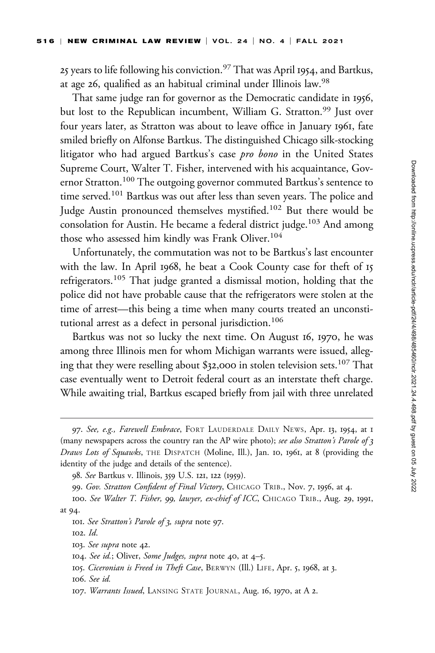25 years to life following his conviction.<sup>97</sup> That was April 1954, and Bartkus, at age 26, qualified as an habitual criminal under Illinois law.<sup>98</sup>

That same judge ran for governor as the Democratic candidate in 1956, but lost to the Republican incumbent, William G. Stratton.<sup>99</sup> Just over four years later, as Stratton was about to leave office in January 1961, fate smiled briefly on Alfonse Bartkus. The distinguished Chicago silk-stocking litigator who had argued Bartkus's case *pro bono* in the United States Supreme Court, Walter T. Fisher, intervened with his acquaintance, Governor Stratton.<sup>100</sup> The outgoing governor commuted Bartkus's sentence to time served.<sup>101</sup> Bartkus was out after less than seven years. The police and Judge Austin pronounced themselves mystified.<sup>102</sup> But there would be consolation for Austin. He became a federal district judge.<sup>103</sup> And among those who assessed him kindly was Frank Oliver.<sup>104</sup>

Unfortunately, the commutation was not to be Bartkus's last encounter with the law. In April 1968, he beat a Cook County case for theft of 15 refrigerators.<sup>105</sup> That judge granted a dismissal motion, holding that the police did not have probable cause that the refrigerators were stolen at the time of arrest—this being a time when many courts treated an unconstitutional arrest as a defect in personal jurisdiction.<sup>106</sup>

Bartkus was not so lucky the next time. On August 16, 1970, he was among three Illinois men for whom Michigan warrants were issued, alleging that they were reselling about \$32,000 in stolen television sets.<sup>107</sup> That case eventually went to Detroit federal court as an interstate theft charge. While awaiting trial, Bartkus escaped briefly from jail with three unrelated

<sup>97.</sup> See, e.g., Farewell Embrace, FORT LAUDERDALE DAILY NEWS, Apr. 13, 1954, at 1 (many newspapers across the country ran the AP wire photo); see also Stratton's Parole of 3 Draws Lots of Squawks, THE DISPATCH (Moline, Ill.), Jan. 10, 1961, at 8 (providing the identity of the judge and details of the sentence).

<sup>98.</sup> See Bartkus v. Illinois, 359 U.S. 121, 122 (1959).

<sup>99.</sup> Gov. Stratton Confident of Final Victory, CHICAGO TRIB., Nov. 7, 1956, at 4.

<sup>100.</sup> See Walter T. Fisher, 99, lawyer, ex-chief of ICC, CHICAGO TRIB., Aug. 29, 1991, at 94.

<sup>101.</sup> See Stratton's Parole of 3, supra note 97.

<sup>102.</sup> Id.

<sup>103.</sup> See supra note 42.

<sup>104.</sup> See id.; Oliver, Some Judges, supra note 40, at 4–5.

<sup>105.</sup> Ciceronian is Freed in Theft Case, BERWYN (Ill.) LIFE, Apr. 5, 1968, at 3.

<sup>106.</sup> See id.

<sup>107.</sup> Warrants Issued, LANSING STATE JOURNAL, Aug. 16, 1970, at A 2.